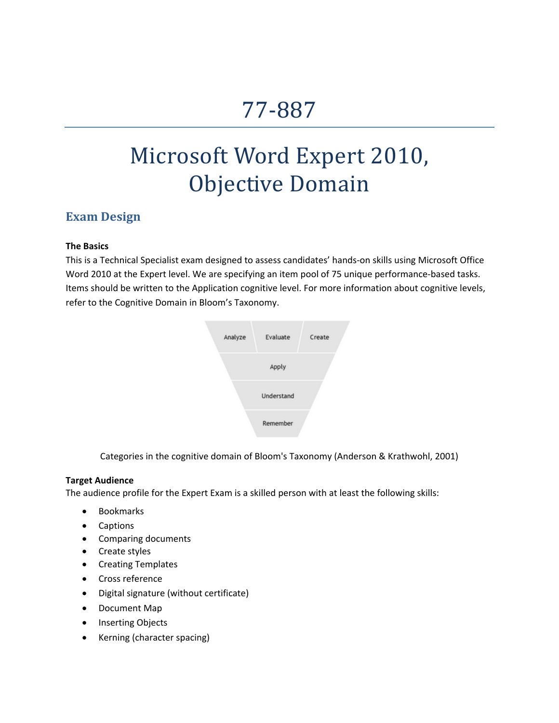# 77‐887

# Microsoft Word Expert 2010, Objective Domain

## **Exam Design**

#### **The Basics**

This is a Technical Specialist exam designed to assess candidates' hands‐on skills using Microsoft Office Word 2010 at the Expert level. We are specifying an item pool of 75 unique performance-based tasks. Items should be written to the Application cognitive level. For more information about cognitive levels, refer to the Cognitive Domain in Bloom's Taxonomy.



Categories in the cognitive domain of Bloom's [Taxonomy](http://en.wikipedia.org/wiki/Image:BloomsCognitiveDomain.PNG) (Anderson & Krathwohl, 2001)

#### **Target Audience**

The audience profile for the Expert Exam is a skilled person with at least the following skills:

- Bookmarks
- **Captions**
- Comparing documents
- Create styles
- Creating Templates
- Cross reference
- Digital signature (without certificate)
- Document Map
- Inserting Objects
- Kerning (character spacing)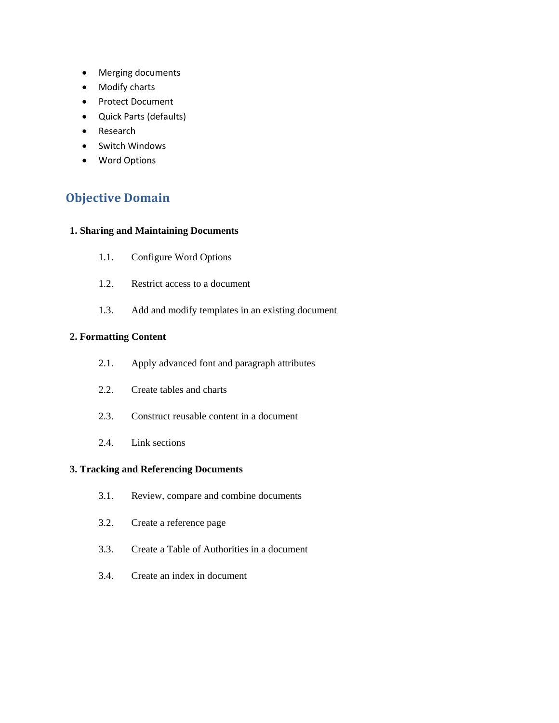- Merging documents
- Modify charts
- Protect Document
- Quick Parts (defaults)
- Research
- Switch Windows
- Word Options

# **Objective Domain**

#### **1. Sharing and Maintaining Documents**

- 1.1. Configure Word Options
- 1.2. Restrict access to a document
- 1.3. Add and modify templates in an existing document

#### **2. Formatting Content**

- 2.1. Apply advanced font and paragraph attributes
- 2.2. Create tables and charts
- 2.3. Construct reusable content in a document
- 2.4. Link sections

#### **3. Tracking and Referencing Documents**

- 3.1. Review, compare and combine documents
- 3.2. Create a reference page
- 3.3. Create a Table of Authorities in a document
- 3.4. Create an index in document